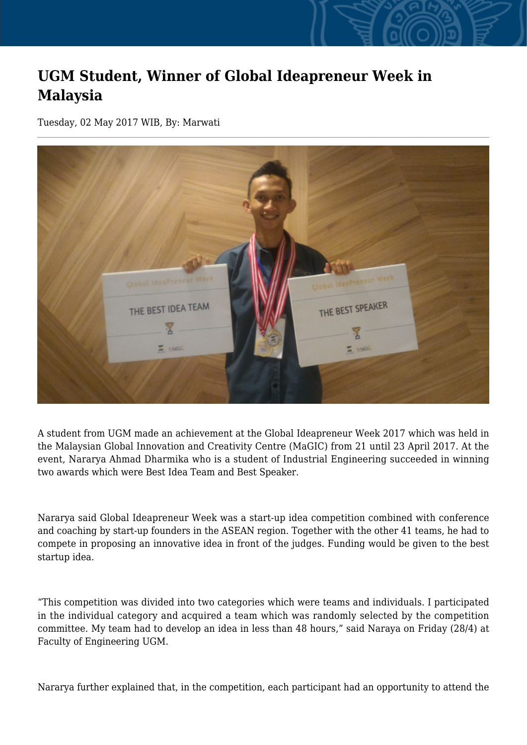## **UGM Student, Winner of Global Ideapreneur Week in Malaysia**

Tuesday, 02 May 2017 WIB, By: Marwati



A student from UGM made an achievement at the Global Ideapreneur Week 2017 which was held in the Malaysian Global Innovation and Creativity Centre (MaGIC) from 21 until 23 April 2017. At the event, Nararya Ahmad Dharmika who is a student of Industrial Engineering succeeded in winning two awards which were Best Idea Team and Best Speaker.

Nararya said Global Ideapreneur Week was a start-up idea competition combined with conference and coaching by start-up founders in the ASEAN region. Together with the other 41 teams, he had to compete in proposing an innovative idea in front of the judges. Funding would be given to the best startup idea.

"This competition was divided into two categories which were teams and individuals. I participated in the individual category and acquired a team which was randomly selected by the competition committee. My team had to develop an idea in less than 48 hours," said Naraya on Friday (28/4) at Faculty of Engineering UGM.

Nararya further explained that, in the competition, each participant had an opportunity to attend the